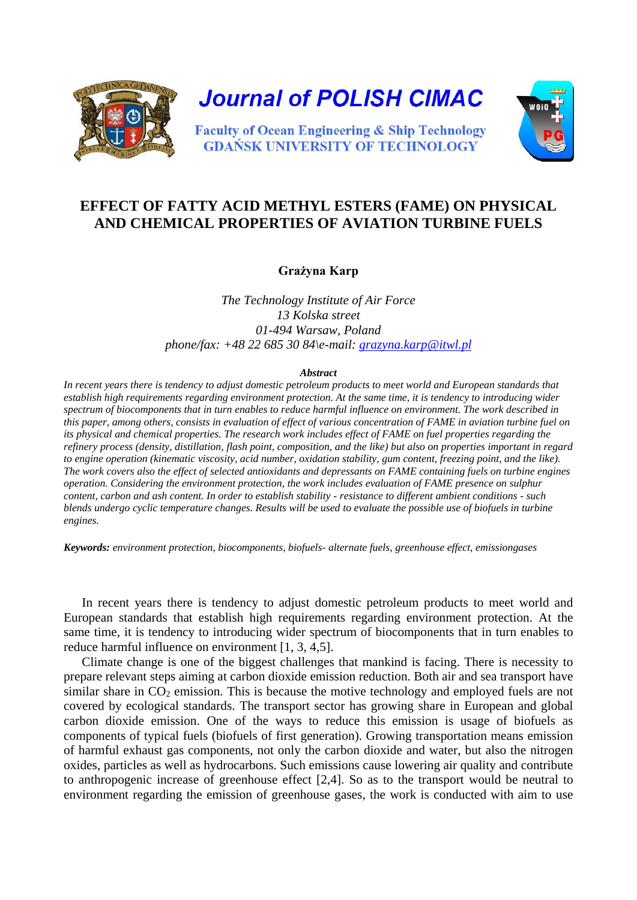

## **EFFECT OF FATTY ACID METHYL ESTERS (FAME) ON PHYSICAL AND CHEMICAL PROPERTIES OF AVIATION TURBINE FUELS**

**Grażyna Karp**

*The Technology Institute of Air Force 13 Kolska street 01-494 Warsaw, Poland phone/fax: +48 22 685 30 84\e-mail: [grazyna.karp@itwl.pl](mailto:grazyna.karp@itwl.pl)*

## *Abstract*

*In recent years there is tendency to adjust domestic petroleum products to meet world and European standards that establish high requirements regarding environment protection. At the same time, it is tendency to introducing wider spectrum of biocomponents that in turn enables to reduce harmful influence on environment. The work described in this paper, among others, consists in evaluation of effect of various concentration of FAME in aviation turbine fuel on its physical and chemical properties. The research work includes effect of FAME on fuel properties regarding the refinery process (density, distillation, flash point, composition, and the like) but also on properties important in regard to engine operation (kinematic viscosity, acid number, oxidation stability, gum content, freezing point, and the like). The work covers also the effect of selected antioxidants and depressants on FAME containing fuels on turbine engines operation. Considering the environment protection, the work includes evaluation of FAME presence on sulphur content, carbon and ash content. In order to establish stability - resistance to different ambient conditions - such blends undergo cyclic temperature changes. Results will be used to evaluate the possible use of biofuels in turbine engines.*

*Keywords: environment protection, biocomponents, biofuels- alternate fuels, greenhouse effect, emissiongases*

In recent years there is tendency to adjust domestic petroleum products to meet world and European standards that establish high requirements regarding environment protection. At the same time, it is tendency to introducing wider spectrum of biocomponents that in turn enables to reduce harmful influence on environment [1, 3, 4,5].

Climate change is one of the biggest challenges that mankind is facing. There is necessity to prepare relevant steps aiming at carbon dioxide emission reduction. Both air and sea transport have similar share in  $CO<sub>2</sub>$  emission. This is because the motive technology and employed fuels are not covered by ecological standards. The transport sector has growing share in European and global carbon dioxide emission. One of the ways to reduce this emission is usage of biofuels as components of typical fuels (biofuels of first generation). Growing transportation means emission of harmful exhaust gas components, not only the carbon dioxide and water, but also the nitrogen oxides, particles as well as hydrocarbons. Such emissions cause lowering air quality and contribute to anthropogenic increase of greenhouse effect [2,4]. So as to the transport would be neutral to environment regarding the emission of greenhouse gases, the work is conducted with aim to use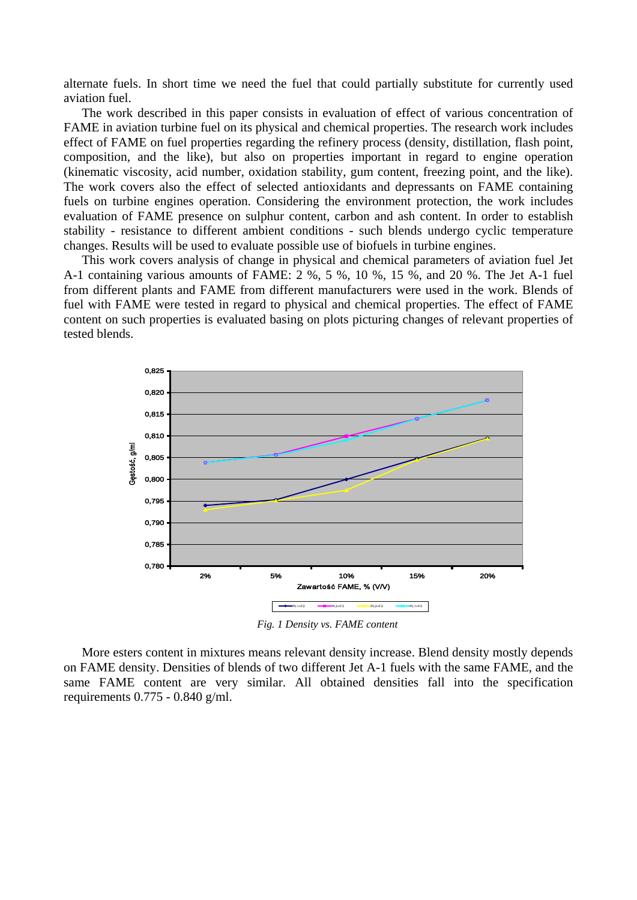alternate fuels. In short time we need the fuel that could partially substitute for currently used aviation fuel.

The work described in this paper consists in evaluation of effect of various concentration of FAME in aviation turbine fuel on its physical and chemical properties. The research work includes effect of FAME on fuel properties regarding the refinery process (density, distillation, flash point, composition, and the like), but also on properties important in regard to engine operation (kinematic viscosity, acid number, oxidation stability, gum content, freezing point, and the like). The work covers also the effect of selected antioxidants and depressants on FAME containing fuels on turbine engines operation. Considering the environment protection, the work includes evaluation of FAME presence on sulphur content, carbon and ash content. In order to establish stability - resistance to different ambient conditions - such blends undergo cyclic temperature changes. Results will be used to evaluate possible use of biofuels in turbine engines.

This work covers analysis of change in physical and chemical parameters of aviation fuel Jet A-1 containing various amounts of FAME: 2 %, 5 %, 10 %, 15 %, and 20 %. The Jet A-1 fuel from different plants and FAME from different manufacturers were used in the work. Blends of fuel with FAME were tested in regard to physical and chemical properties. The effect of FAME content on such properties is evaluated basing on plots picturing changes of relevant properties of tested blends.



*Fig. 1 Density vs. FAME content*

More esters content in mixtures means relevant density increase. Blend density mostly depends on FAME density. Densities of blends of two different Jet A-1 fuels with the same FAME, and the same FAME content are very similar. All obtained densities fall into the specification requirements 0.775 - 0.840 g/ml.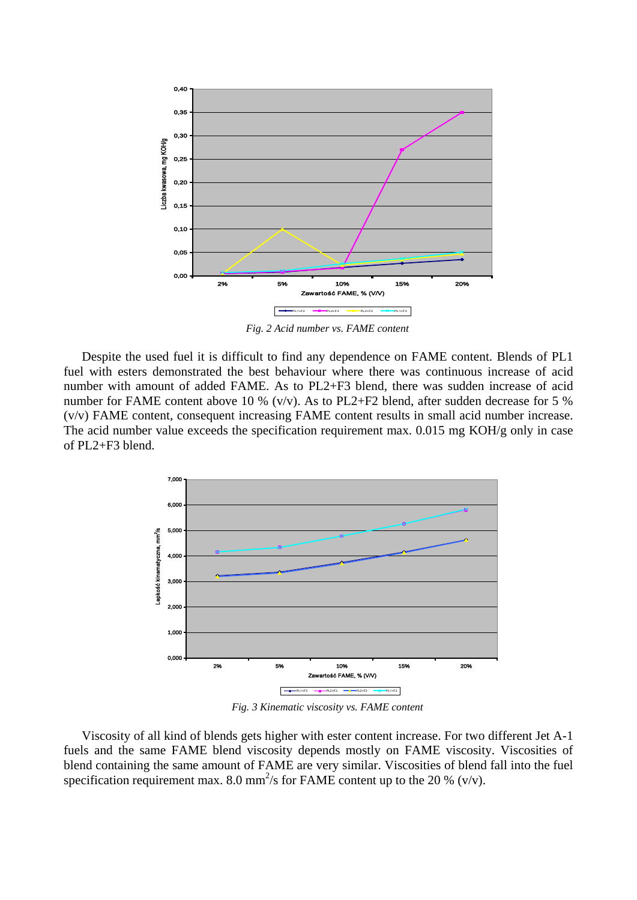

*Fig. 2 Acid number vs. FAME content*

Despite the used fuel it is difficult to find any dependence on FAME content. Blends of PL1 fuel with esters demonstrated the best behaviour where there was continuous increase of acid number with amount of added FAME. As to PL2+F3 blend, there was sudden increase of acid number for FAME content above 10 % (v/v). As to PL2+F2 blend, after sudden decrease for 5 % (v/v) FAME content, consequent increasing FAME content results in small acid number increase. The acid number value exceeds the specification requirement max. 0.015 mg KOH/g only in case of PL2+F3 blend.



*Fig. 3 Kinematic viscosity vs. FAME content*

Viscosity of all kind of blends gets higher with ester content increase. For two different Jet A-1 fuels and the same FAME blend viscosity depends mostly on FAME viscosity. Viscosities of blend containing the same amount of FAME are very similar. Viscosities of blend fall into the fuel specification requirement max. 8.0 mm<sup>2</sup>/s for FAME content up to the 20 % (v/v).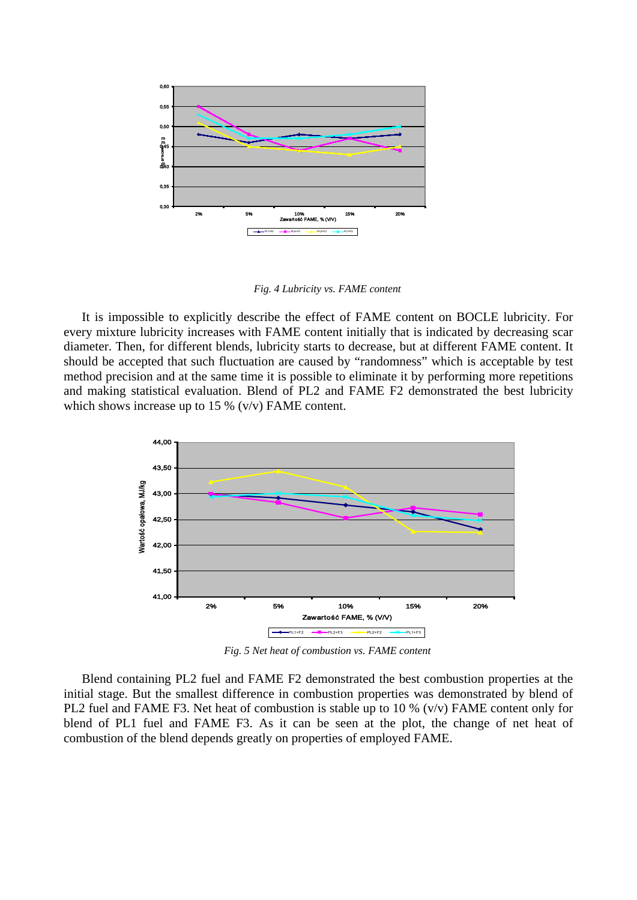

*Fig. 4 Lubricity vs. FAME content*

It is impossible to explicitly describe the effect of FAME content on BOCLE lubricity. For every mixture lubricity increases with FAME content initially that is indicated by decreasing scar diameter. Then, for different blends, lubricity starts to decrease, but at different FAME content. It should be accepted that such fluctuation are caused by "randomness" which is acceptable by test method precision and at the same time it is possible to eliminate it by performing more repetitions and making statistical evaluation. Blend of PL2 and FAME F2 demonstrated the best lubricity which shows increase up to 15 %  $(v/v)$  FAME content.



*Fig. 5 Net heat of combustion vs. FAME content*

Blend containing PL2 fuel and FAME F2 demonstrated the best combustion properties at the initial stage. But the smallest difference in combustion properties was demonstrated by blend of PL2 fuel and FAME F3. Net heat of combustion is stable up to 10 % (v/v) FAME content only for blend of PL1 fuel and FAME F3. As it can be seen at the plot, the change of net heat of combustion of the blend depends greatly on properties of employed FAME.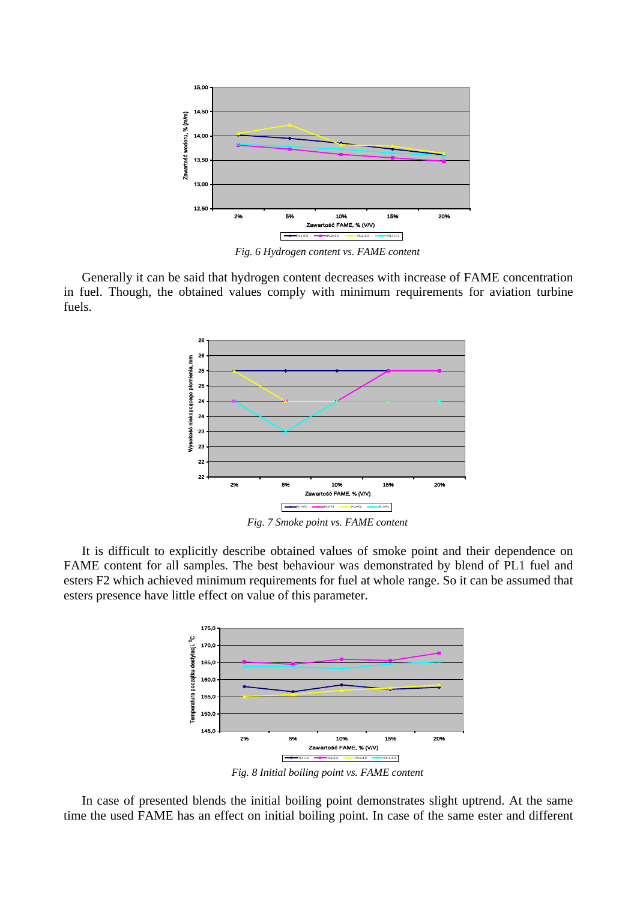

*Fig. 6 Hydrogen content vs. FAME content*

Generally it can be said that hydrogen content decreases with increase of FAME concentration in fuel. Though, the obtained values comply with minimum requirements for aviation turbine fuels.



*Fig. 7 Smoke point vs. FAME content*

It is difficult to explicitly describe obtained values of smoke point and their dependence on FAME content for all samples. The best behaviour was demonstrated by blend of PL1 fuel and esters F2 which achieved minimum requirements for fuel at whole range. So it can be assumed that esters presence have little effect on value of this parameter.



*Fig. 8 Initial boiling point vs. FAME content*

In case of presented blends the initial boiling point demonstrates slight uptrend. At the same time the used FAME has an effect on initial boiling point. In case of the same ester and different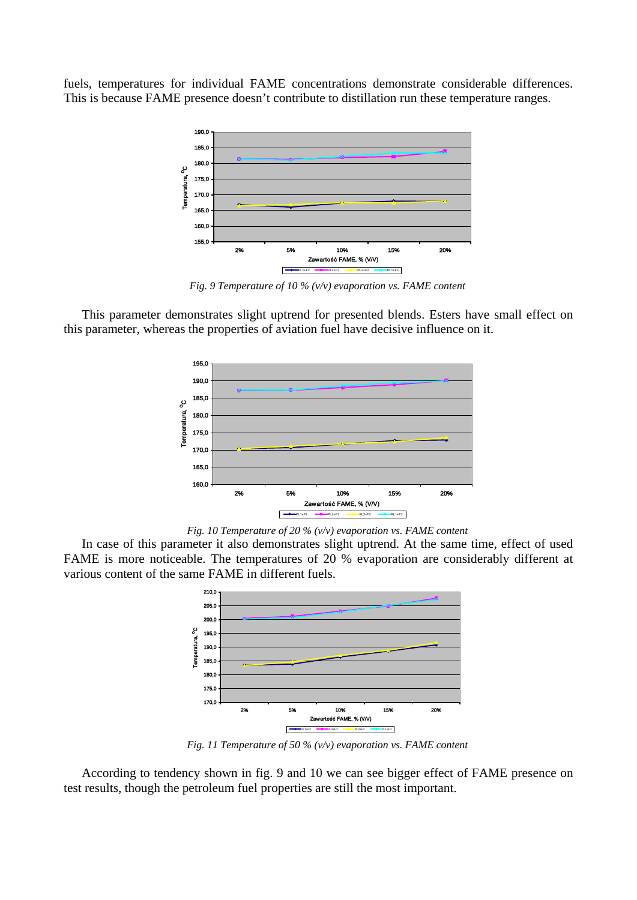fuels, temperatures for individual FAME concentrations demonstrate considerable differences. This is because FAME presence doesn't contribute to distillation run these temperature ranges.



*Fig. 9 Temperature of 10 % (v/v) evaporation vs. FAME content*

This parameter demonstrates slight uptrend for presented blends. Esters have small effect on this parameter, whereas the properties of aviation fuel have decisive influence on it.



*Fig. 10 Temperature of 20 % (v/v) evaporation vs. FAME content*

In case of this parameter it also demonstrates slight uptrend. At the same time, effect of used FAME is more noticeable. The temperatures of 20 % evaporation are considerably different at various content of the same FAME in different fuels.



*Fig. 11 Temperature of 50 % (v/v) evaporation vs. FAME content*

According to tendency shown in fig. 9 and 10 we can see bigger effect of FAME presence on test results, though the petroleum fuel properties are still the most important.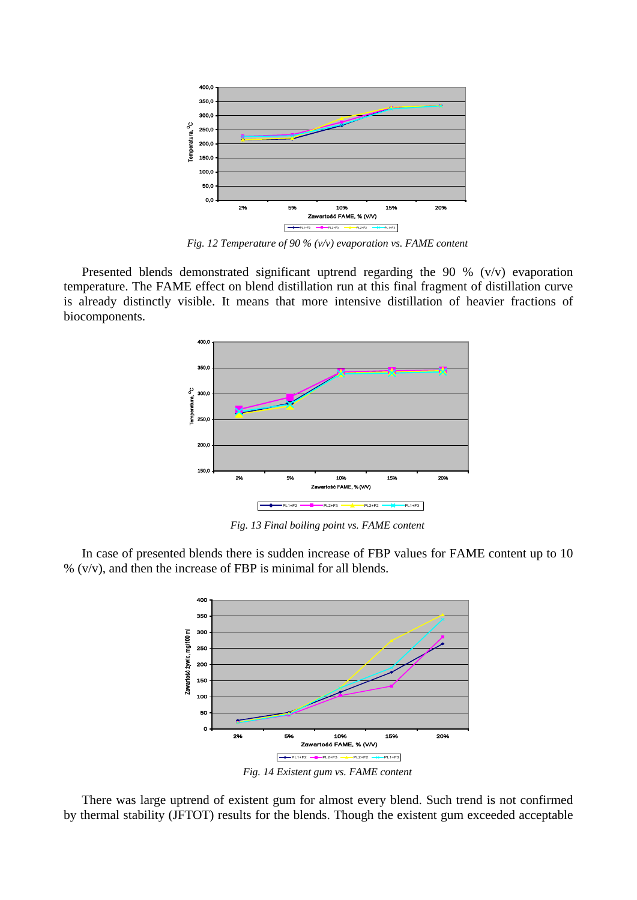

*Fig. 12 Temperature of 90 % (v/v) evaporation vs. FAME content*

Presented blends demonstrated significant uptrend regarding the 90 % (v/v) evaporation temperature. The FAME effect on blend distillation run at this final fragment of distillation curve is already distinctly visible. It means that more intensive distillation of heavier fractions of biocomponents.



*Fig. 13 Final boiling point vs. FAME content*

In case of presented blends there is sudden increase of FBP values for FAME content up to 10 % (v/v), and then the increase of FBP is minimal for all blends.



*Fig. 14 Existent gum vs. FAME content*

There was large uptrend of existent gum for almost every blend. Such trend is not confirmed by thermal stability (JFTOT) results for the blends. Though the existent gum exceeded acceptable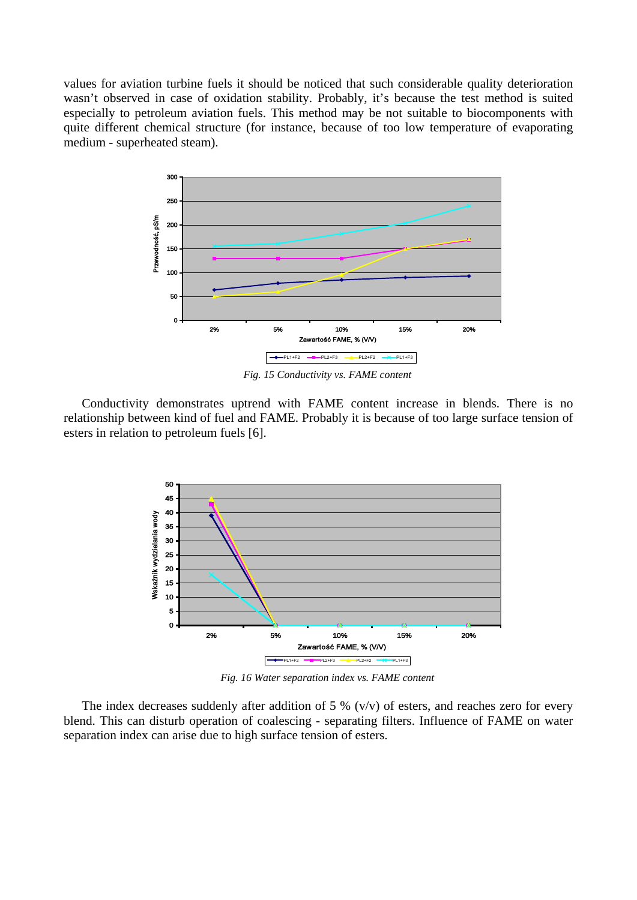values for aviation turbine fuels it should be noticed that such considerable quality deterioration wasn't observed in case of oxidation stability. Probably, it's because the test method is suited especially to petroleum aviation fuels. This method may be not suitable to biocomponents with quite different chemical structure (for instance, because of too low temperature of evaporating medium - superheated steam).



*Fig. 15 Conductivity vs. FAME content*

Conductivity demonstrates uptrend with FAME content increase in blends. There is no relationship between kind of fuel and FAME. Probably it is because of too large surface tension of esters in relation to petroleum fuels [6].



*Fig. 16 Water separation index vs. FAME content*

The index decreases suddenly after addition of 5 %  $(v/v)$  of esters, and reaches zero for every blend. This can disturb operation of coalescing - separating filters. Influence of FAME on water separation index can arise due to high surface tension of esters.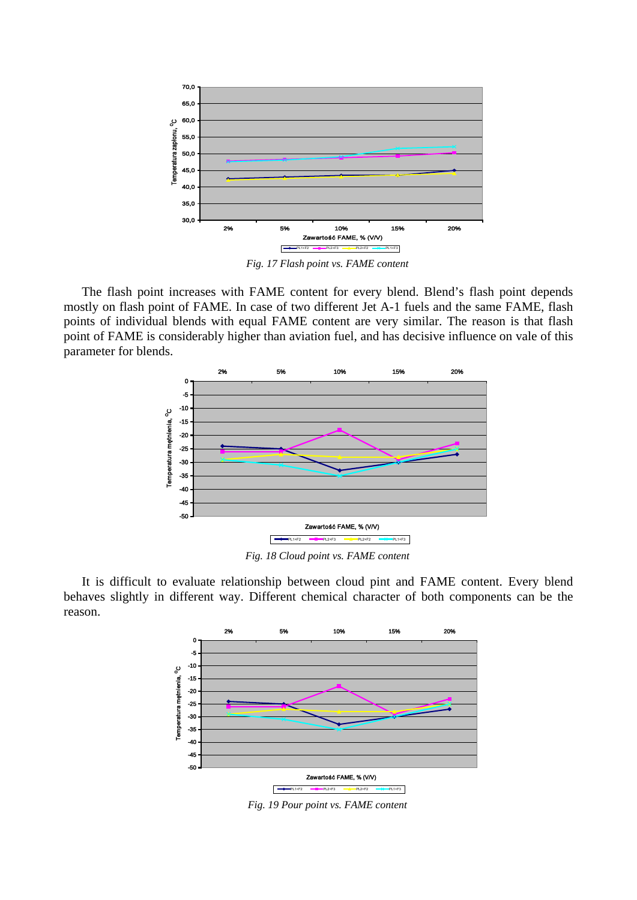

*Fig. 17 Flash point vs. FAME content*

The flash point increases with FAME content for every blend. Blend's flash point depends mostly on flash point of FAME. In case of two different Jet A-1 fuels and the same FAME, flash points of individual blends with equal FAME content are very similar. The reason is that flash point of FAME is considerably higher than aviation fuel, and has decisive influence on vale of this parameter for blends.



*Fig. 18 Cloud point vs. FAME content*

It is difficult to evaluate relationship between cloud pint and FAME content. Every blend behaves slightly in different way. Different chemical character of both components can be the reason.



*Fig. 19 Pour point vs. FAME content*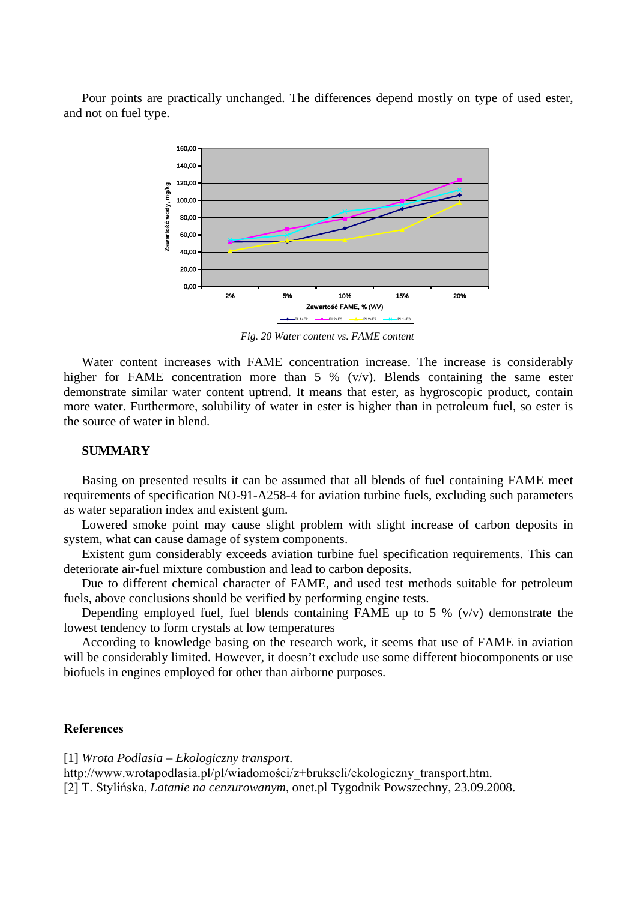Pour points are practically unchanged. The differences depend mostly on type of used ester, and not on fuel type.



*Fig. 20 Water content vs. FAME content*

Water content increases with FAME concentration increase. The increase is considerably higher for FAME concentration more than 5 % (v/v). Blends containing the same ester demonstrate similar water content uptrend. It means that ester, as hygroscopic product, contain more water. Furthermore, solubility of water in ester is higher than in petroleum fuel, so ester is the source of water in blend.

## **SUMMARY**

Basing on presented results it can be assumed that all blends of fuel containing FAME meet requirements of specification NO-91-A258-4 for aviation turbine fuels, excluding such parameters as water separation index and existent gum.

Lowered smoke point may cause slight problem with slight increase of carbon deposits in system, what can cause damage of system components.

Existent gum considerably exceeds aviation turbine fuel specification requirements. This can deteriorate air-fuel mixture combustion and lead to carbon deposits.

Due to different chemical character of FAME, and used test methods suitable for petroleum fuels, above conclusions should be verified by performing engine tests.

Depending employed fuel, fuel blends containing FAME up to 5 % (v/v) demonstrate the lowest tendency to form crystals at low temperatures

According to knowledge basing on the research work, it seems that use of FAME in aviation will be considerably limited. However, it doesn't exclude use some different biocomponents or use biofuels in engines employed for other than airborne purposes.

## **References**

[1] *Wrota Podlasia – Ekologiczny transport*.

http://www.wrotapodlasia.pl/pl/wiadomości/z+brukseli/ekologiczny\_transport.htm. [2] T. Stylińska, *Latanie na cenzurowanym*, onet.pl Tygodnik Powszechny, 23.09.2008.